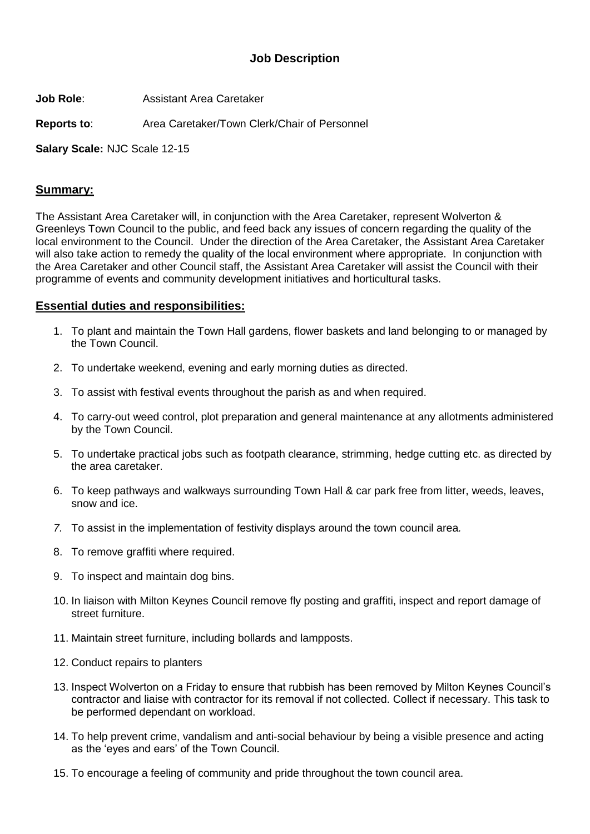## **Job Description**

**Job Role**: Assistant Area Caretaker

**Reports to**: Area Caretaker/Town Clerk/Chair of Personnel

**Salary Scale:** NJC Scale 12-15

## **Summary:**

The Assistant Area Caretaker will, in conjunction with the Area Caretaker, represent Wolverton & Greenleys Town Council to the public, and feed back any issues of concern regarding the quality of the local environment to the Council. Under the direction of the Area Caretaker, the Assistant Area Caretaker will also take action to remedy the quality of the local environment where appropriate. In conjunction with the Area Caretaker and other Council staff, the Assistant Area Caretaker will assist the Council with their programme of events and community development initiatives and horticultural tasks.

## **Essential duties and responsibilities:**

- 1. To plant and maintain the Town Hall gardens, flower baskets and land belonging to or managed by the Town Council.
- 2. To undertake weekend, evening and early morning duties as directed.
- 3. To assist with festival events throughout the parish as and when required.
- 4. To carry-out weed control, plot preparation and general maintenance at any allotments administered by the Town Council.
- 5. To undertake practical jobs such as footpath clearance, strimming, hedge cutting etc. as directed by the area caretaker.
- 6. To keep pathways and walkways surrounding Town Hall & car park free from litter, weeds, leaves, snow and ice.
- *7.* To assist in the implementation of festivity displays around the town council area*.*
- 8. To remove graffiti where required.
- 9. To inspect and maintain dog bins.
- 10. In liaison with Milton Keynes Council remove fly posting and graffiti, inspect and report damage of street furniture.
- 11. Maintain street furniture, including bollards and lampposts.
- 12. Conduct repairs to planters
- 13. Inspect Wolverton on a Friday to ensure that rubbish has been removed by Milton Keynes Council's contractor and liaise with contractor for its removal if not collected. Collect if necessary. This task to be performed dependant on workload.
- 14. To help prevent crime, vandalism and anti-social behaviour by being a visible presence and acting as the 'eyes and ears' of the Town Council.
- 15. To encourage a feeling of community and pride throughout the town council area.